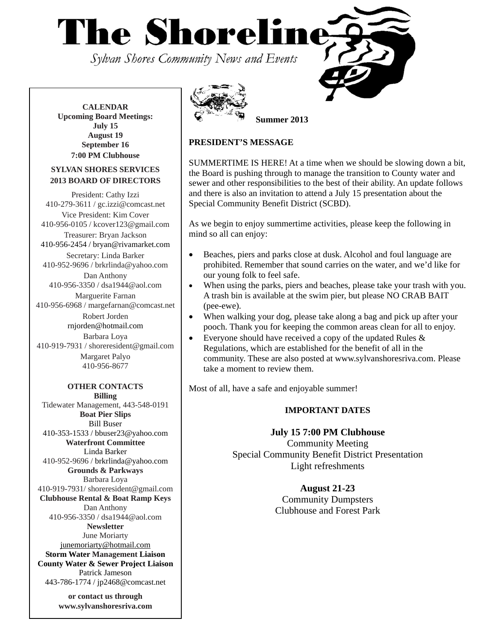**The Shoreline** 

Sylvan Shores Community News and Events

**CALENDAR Upcoming Board Meetings: July 15 August 19 September 16 7:00 PM Clubhouse**

## **SYLVAN SHORES SERVICES 2013 BOARD OF DIRECTORS**

President: Cathy Izzi 410-279-3611 / gc.izzi@comcast.net Vice President: Kim Cover 410-956-0105 / kcover123@gmail.com Treasurer: Bryan Jackson 410-956-2454 / bryan@rivamarket.com Secretary: Linda Barker 410-952-9696 / brkrlinda@yahoo.com Dan Anthony 410-956-3350 / dsa1944@aol.com Marguerite Farnan 410-956-6968 / margefarnan@comcast.net Robert Jorden rnjorden@hotmail.com Barbara Loya 410-919-7931 / shoreresident@gmail.com Margaret Palyo 410-956-8677 **OTHER CONTACTS** 

**Billing**  Tidewater Management, 443-548-0191 **Boat Pier Slips**  Bill Buser 410-353-1533 / bbuser23@yahoo.com **Waterfront Committee**  Linda Barker 410-952-9696 / brkrlinda@yahoo.com **Grounds & Parkways**  Barbara Loya 410-919-7931/ shoreresident@gmail.com **Clubhouse Rental & Boat Ramp Keys**  Dan Anthony 410-956-3350 / dsa1944@aol.com **Newsletter**  June Moriarty [junemoriarty@hotmail.com](mailto:junemoriarty@hotmail.com) **Storm Water Management Liaison County Water & Sewer Project Liaison**  Patrick Jameson 443-786-1774 / jp2468@comcast.net

> **or contact us through www.sylvanshoresriva.com**



**Summer 2013** 

# **PRESIDENT'S MESSAGE**

SUMMERTIME IS HERE! At a time when we should be slowing down a bit, the Board is pushing through to manage the transition to County water and sewer and other responsibilities to the best of their ability. An update follows and there is also an invitation to attend a July 15 presentation about the Special Community Benefit District (SCBD).

As we begin to enjoy summertime activities, please keep the following in mind so all can enjoy:

- Beaches, piers and parks close at dusk. Alcohol and foul language are prohibited. Remember that sound carries on the water, and we'd like for our young folk to feel safe.
- When using the parks, piers and beaches, please take your trash with you. A trash bin is available at the swim pier, but please NO CRAB BAIT (pee-ewe).
- When walking your dog, please take along a bag and pick up after your pooch. Thank you for keeping the common areas clean for all to enjoy.
- Everyone should have received a copy of the updated Rules  $\&$ Regulations, which are established for the benefit of all in the community. These are also posted at [www.sylvanshoresriva.com](http://www.sylvanshoresriva.com/). Please take a moment to review them.

Most of all, have a safe and enjoyable summer!

# **IMPORTANT DATES**

# **July 15 7:00 PM Clubhouse**

Community Meeting Special Community Benefit District Presentation Light refreshments

# **August 21-23**

Community Dumpsters Clubhouse and Forest Park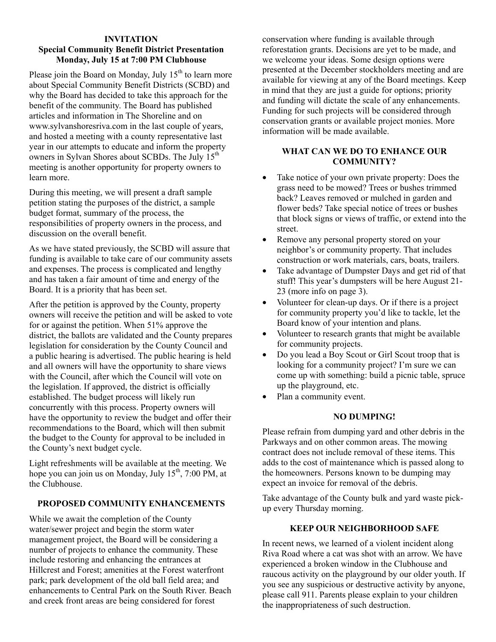#### **INVITATION Special Community Benefit District Presentation Monday, July 15 at 7:00 PM Clubhouse**

Please join the Board on Monday, July  $15<sup>th</sup>$  to learn more about Special Community Benefit Districts (SCBD) and why the Board has decided to take this approach for the benefit of the community. The Board has published articles and information in The Shoreline and on www.sylvanshoresriva.com in the last couple of years, and hosted a meeting with a county representative last year in our attempts to educate and inform the property owners in Sylvan Shores about SCBDs. The July 15<sup>th</sup> meeting is another opportunity for property owners to learn more.

During this meeting, we will present a draft sample petition stating the purposes of the district, a sample budget format, summary of the process, the responsibilities of property owners in the process, and discussion on the overall benefit.

As we have stated previously, the SCBD will assure that funding is available to take care of our community assets and expenses. The process is complicated and lengthy and has taken a fair amount of time and energy of the Board. It is a priority that has been set.

After the petition is approved by the County, property owners will receive the petition and will be asked to vote for or against the petition. When 51% approve the district, the ballots are validated and the County prepares legislation for consideration by the County Council and a public hearing is advertised. The public hearing is held and all owners will have the opportunity to share views with the Council, after which the Council will vote on the legislation. If approved, the district is officially established. The budget process will likely run concurrently with this process. Property owners will have the opportunity to review the budget and offer their recommendations to the Board, which will then submit the budget to the County for approval to be included in the County's next budget cycle.

Light refreshments will be available at the meeting. We hope you can join us on Monday, July  $15<sup>th</sup>$ , 7:00 PM, at the Clubhouse.

## **PROPOSED COMMUNITY ENHANCEMENTS**

While we await the completion of the County water/sewer project and begin the storm water management project, the Board will be considering a number of projects to enhance the community. These include restoring and enhancing the entrances at Hillcrest and Forest; amenities at the Forest waterfront park; park development of the old ball field area; and enhancements to Central Park on the South River. Beach and creek front areas are being considered for forest

conservation where funding is available through reforestation grants. Decisions are yet to be made, and we welcome your ideas. Some design options were presented at the December stockholders meeting and are available for viewing at any of the Board meetings. Keep in mind that they are just a guide for options; priority and funding will dictate the scale of any enhancements. Funding for such projects will be considered through conservation grants or available project monies. More information will be made available.

## **WHAT CAN WE DO TO ENHANCE OUR COMMUNITY?**

- Take notice of your own private property: Does the grass need to be mowed? Trees or bushes trimmed back? Leaves removed or mulched in garden and flower beds? Take special notice of trees or bushes that block signs or views of traffic, or extend into the street.
- Remove any personal property stored on your neighbor's or community property. That includes construction or work materials, cars, boats, trailers.
- Take advantage of Dumpster Days and get rid of that stuff! This year's dumpsters will be here August 21- 23 (more info on page 3).
- Volunteer for clean-up days. Or if there is a project for community property you'd like to tackle, let the Board know of your intention and plans.
- Volunteer to research grants that might be available for community projects.
- Do you lead a Boy Scout or Girl Scout troop that is looking for a community project? I'm sure we can come up with something: build a picnic table, spruce up the playground, etc.
- Plan a community event.

# **NO DUMPING!**

Please refrain from dumping yard and other debris in the Parkways and on other common areas. The mowing contract does not include removal of these items. This adds to the cost of maintenance which is passed along to the homeowners. Persons known to be dumping may expect an invoice for removal of the debris.

Take advantage of the County bulk and yard waste pickup every Thursday morning.

# **KEEP OUR NEIGHBORHOOD SAFE**

In recent news, we learned of a violent incident along Riva Road where a cat was shot with an arrow. We have experienced a broken window in the Clubhouse and raucous activity on the playground by our older youth. If you see any suspicious or destructive activity by anyone, please call 911. Parents please explain to your children the inappropriateness of such destruction.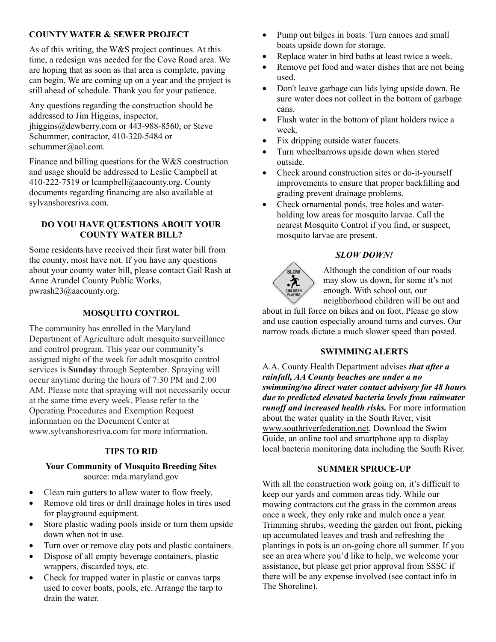# **COUNTY WATER & SEWER PROJECT**

As of this writing, the W&S project continues. At this time, a redesign was needed for the Cove Road area. We are hoping that as soon as that area is complete, paving can begin. We are coming up on a year and the project is still ahead of schedule. Thank you for your patience.

Any questions regarding the construction should be addressed to Jim Higgins, inspector, jhiggins@dewberry.com or 443-988-8560, or Steve Schummer, contractor, 410-320-5484 or schummer@aol.com.

Finance and billing questions for the W&S construction and usage should be addressed to Leslie Campbell at 410-222-7519 or lcampbell@aacounty.org. County documents regarding financing are also available at sylvanshoresriva.com.

# **DO YOU HAVE QUESTIONS ABOUT YOUR COUNTY WATER BILL?**

Some residents have received their first water bill from the county, most have not. If you have any questions about your county water bill, please contact Gail Rash at Anne Arundel County Public Works, pwrash23@aacounty.org.

# **MOSQUITO CONTROL**

The community has enrolled in the Maryland Department of Agriculture adult mosquito surveillance and control program. This year our community's assigned night of the week for adult mosquito control services is **Sunday** through September. Spraying will occur anytime during the hours of 7:30 PM and 2:00 AM. Please note that spraying will not necessarily occur at the same time every week. Please refer to the Operating Procedures and Exemption Request information on the Document Center at www.sylvanshoresriva.com for more information.

# **TIPS TO RID**

## **Your Community of Mosquito Breeding Sites**  source: mda.maryland.gov

- Clean rain gutters to allow water to flow freely.
- Remove old tires or drill drainage holes in tires used for playground equipment.
- Store plastic wading pools inside or turn them upside down when not in use.
- Turn over or remove clay pots and plastic containers.
- Dispose of all empty beverage containers, plastic wrappers, discarded toys, etc.
- Check for trapped water in plastic or canvas tarps used to cover boats, pools, etc. Arrange the tarp to drain the water.
- Pump out bilges in boats. Turn canoes and small boats upside down for storage.
- Replace water in bird baths at least twice a week.
- Remove pet food and water dishes that are not being used.
- Don't leave garbage can lids lying upside down. Be sure water does not collect in the bottom of garbage cans.
- Flush water in the bottom of plant holders twice a week.
- Fix dripping outside water faucets.
- Turn wheelbarrows upside down when stored outside.
- Check around construction sites or do-it-yourself improvements to ensure that proper backfilling and grading prevent drainage problems.
- Check ornamental ponds, tree holes and waterholding low areas for mosquito larvae. Call the nearest Mosquito Control if you find, or suspect, mosquito larvae are present.

# *SLOW DOWN!*



Although the condition of our roads may slow us down, for some it's not enough. With school out, our neighborhood children will be out and

about in full force on bikes and on foot. Please go slow and use caution especially around turns and curves. Our narrow roads dictate a much slower speed than posted.

## **SWIMMING ALERTS**

A.A. County Health Department advises *that after a rainfall, AA County beaches are under a no swimming/no direct water contact advisory for 48 hours due to predicted elevated bacteria levels from rainwater runoff and increased health risks.* For more information about the water quality in the South River, visit www.southriverfederation.net. Download the Swim Guide, an online tool and smartphone app to display local bacteria monitoring data including the South River.

## **SUMMER SPRUCE-UP**

With all the construction work going on, it's difficult to keep our yards and common areas tidy. While our mowing contractors cut the grass in the common areas once a week, they only rake and mulch once a year. Trimming shrubs, weeding the garden out front, picking up accumulated leaves and trash and refreshing the plantings in pots is an on-going chore all summer. If you see an area where you'd like to help, we welcome your assistance, but please get prior approval from SSSC if there will be any expense involved (see contact info in The Shoreline).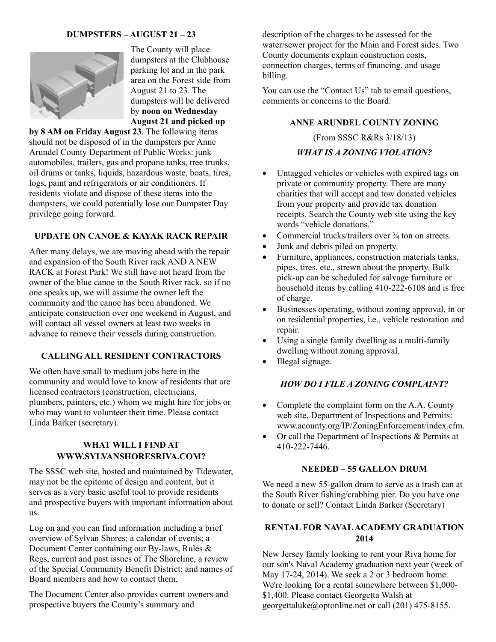# **DUMPSTERS – AUGUST 21 – 23**



The County will place dumpsters at the Clubhouse parking lot and in the park area on the Forest side from August 21 to 23. The dumpsters will be delivered by **noon on Wednesday August 21 and picked up** 

**by 8 AM on Friday August 23**. The following items should not be disposed of in the dumpsters per Anne Arundel County Department of Public Works: junk automobiles, trailers, gas and propane tanks, tree trunks, oil drums or tanks, liquids, hazardous waste, boats, tires, logs, paint and refrigerators or air conditioners. If residents violate and dispose of these items into the dumpsters, we could potentially lose our Dumpster Day privilege going forward.

# **UPDATE ON CANOE & KAYAK RACK REPAIR**

After many delays, we are moving ahead with the repair and expansion of the South River rack AND A NEW RACK at Forest Park! We still have not heard from the owner of the blue canoe in the South River rack, so if no one speaks up, we will assume the owner left the community and the canoe has been abandoned. We anticipate construction over one weekend in August, and will contact all vessel owners at least two weeks in advance to remove their vessels during construction.

## **CALLING ALL RESIDENT CONTRACTORS**

We often have small to medium jobs here in the community and would love to know of residents that are licensed contractors (construction, electricians, plumbers, painters, etc.) whom we might hire for jobs or who may want to volunteer their time. Please contact Linda Barker (secretary).

# **WHAT WILL I FIND AT WWW.SYLVANSHORESRIVA.COM?**

The SSSC web site, hosted and maintained by Tidewater, may not be the epitome of design and content, but it serves as a very basic useful tool to provide residents and prospective buyers with important information about us.

Log on and you can find information including a brief overview of Sylvan Shores; a calendar of events; a Document Center containing our By-laws, Rules & Regs, current and past issues of The Shoreline, a review of the Special Community Benefit District; and names of Board members and how to contact them,

The Document Center also provides current owners and prospective buyers the County's summary and

description of the charges to be assessed for the water/sewer project for the Main and Forest sides. Two County documents explain construction costs, connection charges, terms of financing, and usage billing.

You can use the "Contact Us" tab to email questions, comments or concerns to the Board.

#### **ANNE ARUNDEL COUNTY ZONING**

(From SSSC R&Rs 3/18/13)

#### *WHAT IS A ZONING VIOLATION?*

- Untagged vehicles or vehicles with expired tags on private or community property. There are many charities that will accept and tow donated vehicles from your property and provide tax donation receipts. Search the County web site using the key words "vehicle donations."
- Commercial trucks/trailers over  $\frac{3}{4}$  ton on streets.
- Junk and debris piled on property.
- Furniture, appliances, construction materials tanks, pipes, tires, etc., strewn about the property. Bulk pick-up can be scheduled for salvage furniture or household items by calling 410-222-6108 and is free of charge.
- Businesses operating, without zoning approval, in or on residential properties, i.e., vehicle restoration and repair.
- Using a single family dwelling as a multi-family dwelling without zoning approval.
- Illegal signage.

#### *HOW DO I FILE A ZONING COMPLAINT?*

- Complete the complaint form on the A.A. County web site, Department of Inspections and Permits: www.acounty.org/IP/ZoningEnforcement/index.cfm.
- Or call the Department of Inspections & Permits at 410-222-7446.

#### **NEEDED – 55 GALLON DRUM**

We need a new 55-gallon drum to serve as a trash can at the South River fishing/crabbing pier. Do you have one to donate or sell? Contact Linda Barker (Secretary)

# **RENTAL FOR NAVAL ACADEMY GRADUATION 2014**

New Jersey family looking to rent your Riva home for our son's Naval Academy graduation next year (week of May 17-24, 2014). We seek a 2 or 3 bedroom home. We're looking for a rental somewhere between \$1,000- \$1,400. Please contact Georgetta Walsh at georgettaluke@optonline.net or call (201) 475-8155.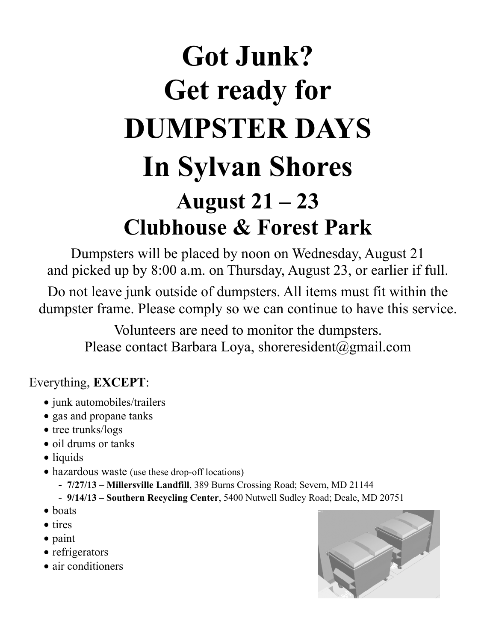# **Got Junk? Get ready for DUMPSTER DAYS In Sylvan Shores August 21 – 23 Clubhouse & Forest Park**

Dumpsters will be placed by noon on Wednesday, August 21 and picked up by 8:00 a.m. on Thursday, August 23, or earlier if full.

Do not leave junk outside of dumpsters. All items must fit within the dumpster frame. Please comply so we can continue to have this service.

> Volunteers are need to monitor the dumpsters. Please contact Barbara Loya, shoreresident@gmail.com

# Everything, **EXCEPT**:

- junk automobiles/trailers
- gas and propane tanks
- tree trunks/logs
- oil drums or tanks
- liquids
- hazardous waste (use these drop-off locations)
	- **7/27/13 Millersville Landfill**, 389 Burns Crossing Road; Severn, MD 21144
	- **9/14/13 Southern Recycling Center**, 5400 Nutwell Sudley Road; Deale, MD 20751
- boats
- tires
- paint
- refrigerators
- air conditioners